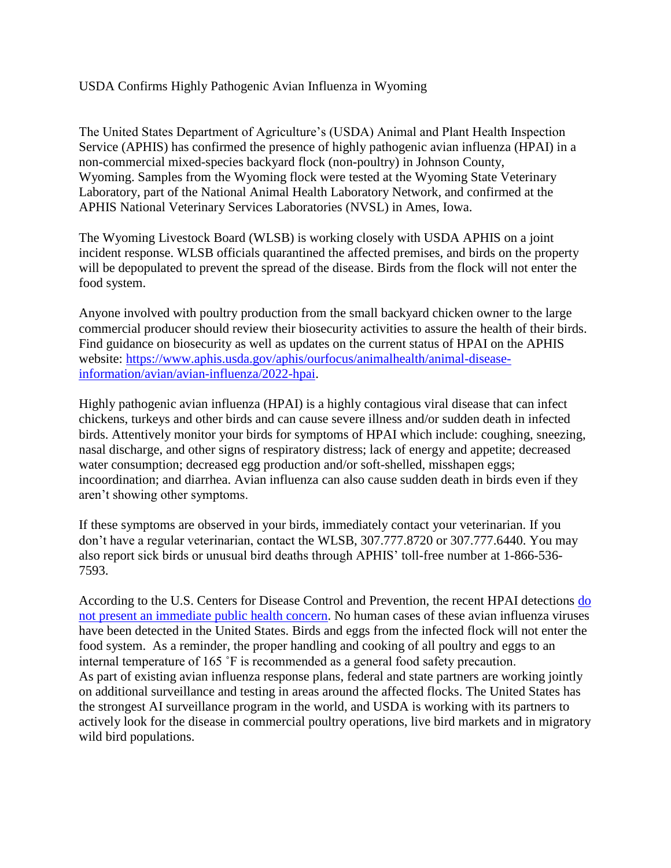## USDA Confirms Highly Pathogenic Avian Influenza in Wyoming

The United States Department of Agriculture's (USDA) Animal and Plant Health Inspection Service (APHIS) has confirmed the presence of highly pathogenic avian influenza (HPAI) in a non-commercial mixed-species backyard flock (non-poultry) in Johnson County, Wyoming. Samples from the Wyoming flock were tested at the Wyoming State Veterinary Laboratory, part of the National Animal Health Laboratory Network, and confirmed at the APHIS National Veterinary Services Laboratories (NVSL) in Ames, Iowa.

The Wyoming Livestock Board (WLSB) is working closely with USDA APHIS on a joint incident response. WLSB officials quarantined the affected premises, and birds on the property will be depopulated to prevent the spread of the disease. Birds from the flock will not enter the food system.

Anyone involved with poultry production from the small backyard chicken owner to the large commercial producer should review their biosecurity activities to assure the health of their birds. Find guidance on biosecurity as well as updates on the current status of HPAI on the APHIS website: [https://www.aphis.usda.gov/aphis/ourfocus/animalhealth/animal-disease](https://www.aphis.usda.gov/aphis/ourfocus/animalhealth/animal-disease-information/avian/avian-influenza/2022-hpai)[information/avian/avian-influenza/2022-hpai.](https://www.aphis.usda.gov/aphis/ourfocus/animalhealth/animal-disease-information/avian/avian-influenza/2022-hpai)

Highly pathogenic avian influenza (HPAI) is a highly contagious viral disease that can infect chickens, turkeys and other birds and can cause severe illness and/or sudden death in infected birds. Attentively monitor your birds for symptoms of HPAI which include: coughing, sneezing, nasal discharge, and other signs of respiratory distress; lack of energy and appetite; decreased water consumption; decreased egg production and/or soft-shelled, misshapen eggs; incoordination; and diarrhea. Avian influenza can also cause sudden death in birds even if they aren't showing other symptoms.

If these symptoms are observed in your birds, immediately contact your veterinarian. If you don't have a regular veterinarian, contact the WLSB, 307.777.8720 or 307.777.6440. You may also report sick birds or unusual bird deaths through APHIS' toll-free number at 1-866-536- 7593.

According to the U.S. Centers for Disease Control and Prevention, the recent HPAI detections [do](https://gcc02.safelinks.protection.outlook.com/?url=https%3A%2F%2Fwww.cdc.gov%2Fflu%2Favianflu%2Fspotlights%2F2021-2022%2Fbird-flu-poses-low-risk-public.htm&data=04%7C01%7CHeather.Lansdowne%40ks.gov%7Cdcfca033eb9449ca399708da038ec6b5%7Cdcae8101c92d480cbc43c6761ccccc5a%7C0%7C0%7C637826209006215717%7CUnknown%7CTWFpbGZsb3d8eyJWIjoiMC4wLjAwMDAiLCJQIjoiV2luMzIiLCJBTiI6Ik1haWwiLCJXVCI6Mn0%3D%7C3000&sdata=c7SUuX%2BX44iSBrUj1crcW5Ao0hsggmJrjVpe1bf1Lk0%3D&reserved=0)  [not present an immediate public health concern.](https://gcc02.safelinks.protection.outlook.com/?url=https%3A%2F%2Fwww.cdc.gov%2Fflu%2Favianflu%2Fspotlights%2F2021-2022%2Fbird-flu-poses-low-risk-public.htm&data=04%7C01%7CHeather.Lansdowne%40ks.gov%7Cdcfca033eb9449ca399708da038ec6b5%7Cdcae8101c92d480cbc43c6761ccccc5a%7C0%7C0%7C637826209006215717%7CUnknown%7CTWFpbGZsb3d8eyJWIjoiMC4wLjAwMDAiLCJQIjoiV2luMzIiLCJBTiI6Ik1haWwiLCJXVCI6Mn0%3D%7C3000&sdata=c7SUuX%2BX44iSBrUj1crcW5Ao0hsggmJrjVpe1bf1Lk0%3D&reserved=0) No human cases of these avian influenza viruses have been detected in the United States. Birds and eggs from the infected flock will not enter the food system. As a reminder, the proper handling and cooking of all poultry and eggs to an internal temperature of 165 ˚F is recommended as a general food safety precaution. As part of existing avian influenza response plans, federal and state partners are working jointly on additional surveillance and testing in areas around the affected flocks. The United States has the strongest AI surveillance program in the world, and USDA is working with its partners to actively look for the disease in commercial poultry operations, live bird markets and in migratory wild bird populations.